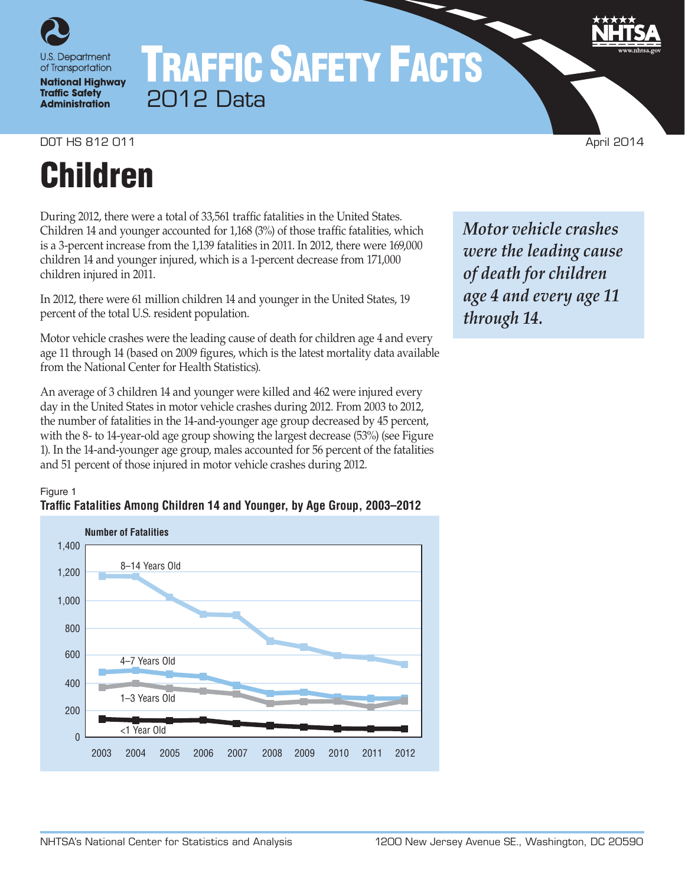

# TRAFFIC SAFETY FACTS 2012 Data

**DOT HS 812 011** April 2014

# Children

During 2012, there were a total of 33,561 traffic fatalities in the United States. Children 14 and younger accounted for 1,168 (3%) of those traffic fatalities, which is a 3-percent increase from the 1,139 fatalities in 2011. In 2012, there were 169,000 children 14 and younger injured, which is a 1-percent decrease from 171,000 children injured in 2011.

In 2012, there were 61 million children 14 and younger in the United States, 19 percent of the total U.S. resident population.

Motor vehicle crashes were the leading cause of death for children age 4 and every age 11 through 14 (based on 2009 figures, which is the latest mortality data available from the National Center for Health Statistics).

An average of 3 children 14 and younger were killed and 462 were injured every day in the United States in motor vehicle crashes during 2012. From 2003 to 2012, the number of fatalities in the 14-and-younger age group decreased by 45 percent, with the 8- to 14-year-old age group showing the largest decrease (53%) (see Figure 1). In the 14-and-younger age group, males accounted for 56 percent of the fatalities and 51 percent of those injured in motor vehicle crashes during 2012.





*Motor vehicle crashes were the leading cause of death for children age 4 and every age 11 through 14.*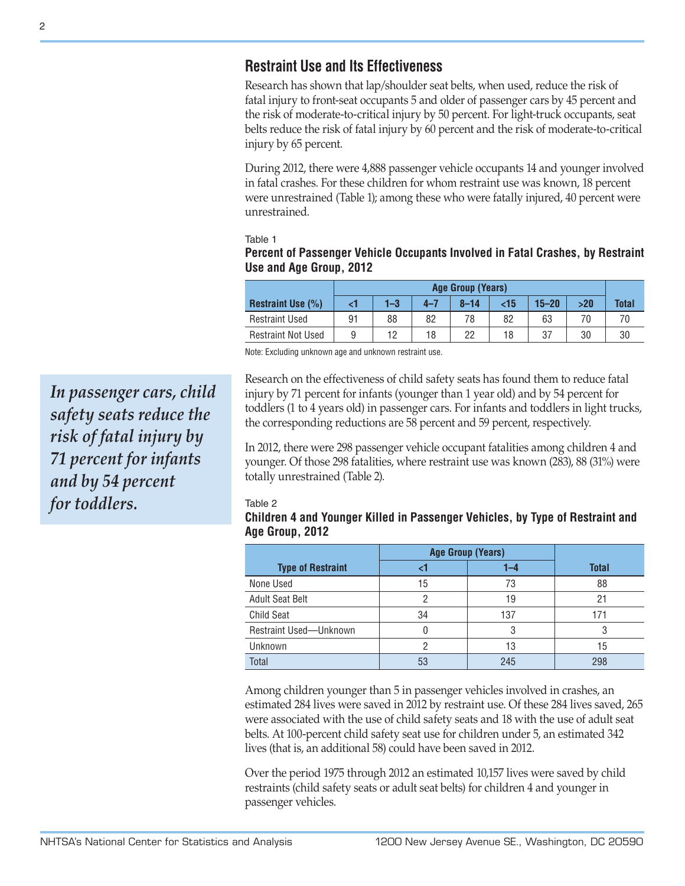## **Restraint Use and Its Effectiveness**

Research has shown that lap/shoulder seat belts, when used, reduce the risk of fatal injury to front-seat occupants 5 and older of passenger cars by 45 percent and the risk of moderate-to-critical injury by 50 percent. For light-truck occupants, seat belts reduce the risk of fatal injury by 60 percent and the risk of moderate-to-critical injury by 65 percent.

During 2012, there were 4,888 passenger vehicle occupants 14 and younger involved in fatal crashes. For these children for whom restraint use was known, 18 percent were unrestrained (Table 1); among these who were fatally injured, 40 percent were unrestrained.

Table 1

#### **Percent of Passenger Vehicle Occupants Involved in Fatal Crashes, by Restraint Use and Age Group, 2012**

|                           | Age Group (Years) |         |         |          |     |           |     |              |
|---------------------------|-------------------|---------|---------|----------|-----|-----------|-----|--------------|
| <b>Restraint Use (%)</b>  |                   | $1 - 3$ | $4 - 7$ | $8 - 14$ | <15 | $15 - 20$ | >20 | <b>Total</b> |
| <b>Restraint Used</b>     | 91                | 88      | 82      | 78       | 82  | 63        | 70  |              |
| <b>Restraint Not Used</b> | 9                 | 12      | 18      | 22       | 18  | 37        | 30  | 30           |

Note: Excluding unknown age and unknown restraint use.

Research on the effectiveness of child safety seats has found them to reduce fatal injury by 71 percent for infants (younger than 1 year old) and by 54 percent for toddlers (1 to 4 years old) in passenger cars. For infants and toddlers in light trucks, the corresponding reductions are 58 percent and 59 percent, respectively.

In 2012, there were 298 passenger vehicle occupant fatalities among children 4 and younger. Of those 298 fatalities, where restraint use was known (283), 88 (31%) were totally unrestrained (Table 2).

#### Table 2

### **Children 4 and Younger Killed in Passenger Vehicles, by Type of Restraint and Age Group, 2012**

|                          | <b>Age Group (Years)</b> |     |              |
|--------------------------|--------------------------|-----|--------------|
| <b>Type of Restraint</b> |                          | 1–4 | <b>Total</b> |
| None Used                | 15                       | 73  | 88           |
| <b>Adult Seat Belt</b>   | റ                        | 19  | 21           |
| <b>Child Seat</b>        | 34                       | 137 | 171          |
| Restraint Used-Unknown   |                          |     |              |
| Unknown                  |                          | 13  | 15           |
| Total                    | 53                       | 245 | 298          |

Among children younger than 5 in passenger vehicles involved in crashes, an estimated 284 lives were saved in 2012 by restraint use. Of these 284 lives saved, 265 were associated with the use of child safety seats and 18 with the use of adult seat belts. At 100-percent child safety seat use for children under 5, an estimated 342 lives (that is, an additional 58) could have been saved in 2012.

Over the period 1975 through 2012 an estimated 10,157 lives were saved by child restraints (child safety seats or adult seat belts) for children 4 and younger in passenger vehicles.

*In passenger cars, child safety seats reduce the risk of fatal injury by 71 percent for infants and by 54 percent for toddlers.*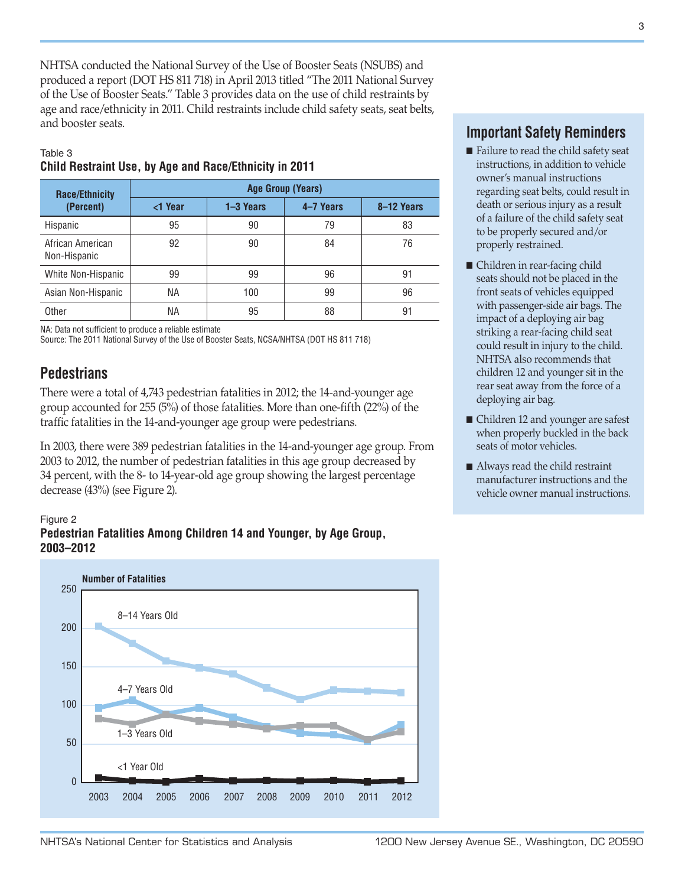NHTSA conducted the National Survey of the Use of Booster Seats (NSUBS) and produced a report (DOT HS 811 718) in April 2013 titled "The 2011 National Survey of the Use of Booster Seats." Table 3 provides data on the use of child restraints by age and race/ethnicity in 2011. Child restraints include child safety seats, seat belts, and booster seats.

#### Table 3 **Child Restraint Use, by Age and Race/Ethnicity in 2011**

| <b>Race/Ethnicity</b>            | <b>Age Group (Years)</b> |               |           |            |  |  |  |
|----------------------------------|--------------------------|---------------|-----------|------------|--|--|--|
| (Percent)                        | <1 Year                  | $1 - 3$ Years | 4-7 Years | 8-12 Years |  |  |  |
| Hispanic                         | 95                       | 90            | 79        | 83         |  |  |  |
| African American<br>Non-Hispanic | 92                       | 90            | 84        | 76         |  |  |  |
| White Non-Hispanic               | 99                       | 99            | 96        | 91         |  |  |  |
| Asian Non-Hispanic               | ΝA                       | 100           | 99        | 96         |  |  |  |
| Other                            | ΝA                       | 95            | 88        | 91         |  |  |  |

NA: Data not sufficient to produce a reliable estimate

Source: The 2011 National Survey of the Use of Booster Seats, NCSA/NHTSA (DOT HS 811 718)

## **Pedestrians**

There were a total of 4,743 pedestrian fatalities in 2012; the 14-and-younger age group accounted for 255 (5%) of those fatalities. More than one-fifth (22%) of the traffic fatalities in the 14-and-younger age group were pedestrians.

In 2003, there were 389 pedestrian fatalities in the 14-and-younger age group. From 2003 to 2012, the number of pedestrian fatalities in this age group decreased by 34 percent, with the 8- to 14-year-old age group showing the largest percentage decrease (43%) (see Figure 2).

### Figure 2





## **Important Safety Reminders**

- $\blacksquare$  Failure to read the child safety seat instructions, in addition to vehicle owner's manual instructions regarding seat belts, could result in death or serious injury as a result of a failure of the child safety seat to be properly secured and/or properly restrained.
- Children in rear-facing child seats should not be placed in the front seats of vehicles equipped with passenger-side air bags. The impact of a deploying air bag striking a rear-facing child seat could result in injury to the child. NHTSA also recommends that children 12 and younger sit in the rear seat away from the force of a deploying air bag.
- Children 12 and younger are safest when properly buckled in the back seats of motor vehicles.
- $\blacksquare$  Always read the child restraint manufacturer instructions and the vehicle owner manual instructions.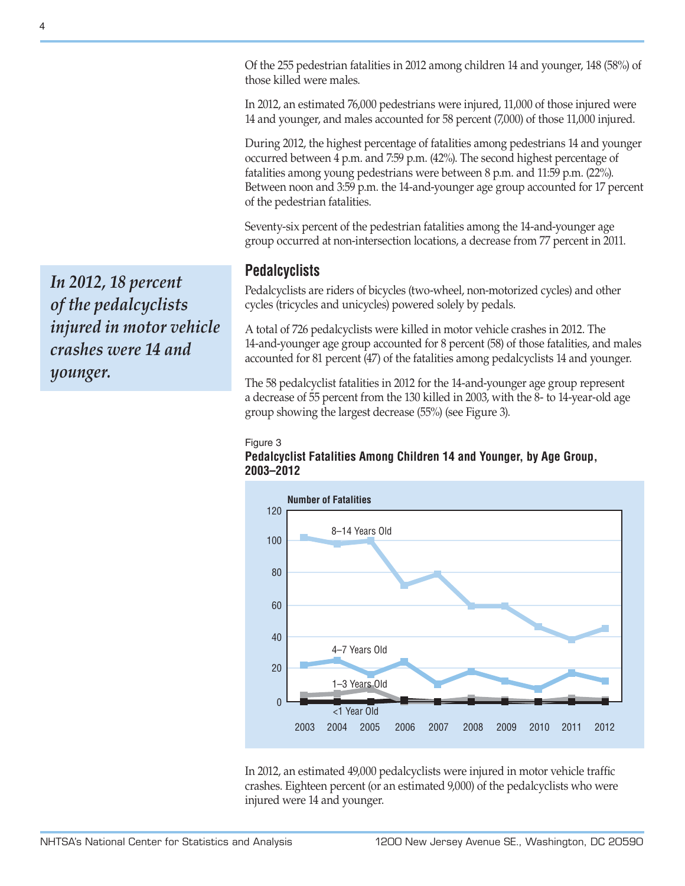Of the 255 pedestrian fatalities in 2012 among children 14 and younger, 148 (58%) of those killed were males.

In 2012, an estimated 76,000 pedestrians were injured, 11,000 of those injured were 14 and younger, and males accounted for 58 percent (7,000) of those 11,000 injured.

During 2012, the highest percentage of fatalities among pedestrians 14 and younger occurred between 4 p.m. and 7:59 p.m. (42%). The second highest percentage of fatalities among young pedestrians were between 8 p.m. and 11:59 p.m. (22%). Between noon and 3:59 p.m. the 14-and-younger age group accounted for 17 percent of the pedestrian fatalities.

Seventy-six percent of the pedestrian fatalities among the 14-and-younger age group occurred at non-intersection locations, a decrease from 77 percent in 2011.

## **Pedalcyclists**

Pedalcyclists are riders of bicycles (two-wheel, non-motorized cycles) and other cycles (tricycles and unicycles) powered solely by pedals.

A total of 726 pedalcyclists were killed in motor vehicle crashes in 2012. The 14-and-younger age group accounted for 8 percent (58) of those fatalities, and males accounted for 81 percent (47) of the fatalities among pedalcyclists 14 and younger.

The 58 pedalcyclist fatalities in 2012 for the 14-and-younger age group represent a decrease of 55 percent from the 130 killed in 2003, with the 8- to 14-year-old age group showing the largest decrease (55%) (see Figure 3).

#### Figure 3





In 2012, an estimated 49,000 pedalcyclists were injured in motor vehicle traffic crashes. Eighteen percent (or an estimated 9,000) of the pedalcyclists who were injured were 14 and younger.

*In 2012, 18 percent of the pedalcyclists injured in motor vehicle crashes were 14 and younger.*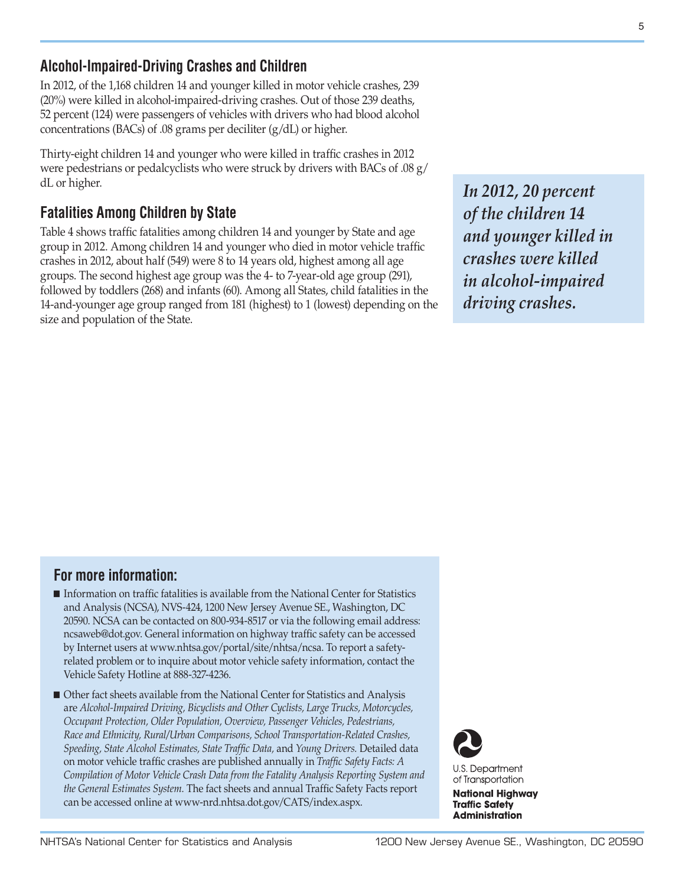## **Alcohol-Impaired-Driving Crashes and Children**

In 2012, of the 1,168 children 14 and younger killed in motor vehicle crashes, 239 (20%) were killed in alcohol-impaired-driving crashes. Out of those 239 deaths, 52 percent (124) were passengers of vehicles with drivers who had blood alcohol concentrations (BACs) of .08 grams per deciliter (g/dL) or higher.

Thirty-eight children 14 and younger who were killed in traffic crashes in 2012 were pedestrians or pedalcyclists who were struck by drivers with BACs of .08 g/ dL or higher.

## **Fatalities Among Children by State**

Table 4 shows traffic fatalities among children 14 and younger by State and age group in 2012. Among children 14 and younger who died in motor vehicle traffic crashes in 2012, about half (549) were 8 to 14 years old, highest among all age groups. The second highest age group was the 4- to 7-year-old age group (291), followed by toddlers (268) and infants (60). Among all States, child fatalities in the 14-and-younger age group ranged from 181 (highest) to 1 (lowest) depending on the size and population of the State.

*In 2012, 20 percent of the children 14 and younger killed in crashes were killed in alcohol-impaired driving crashes.*

## **For more information:**

- O Information on traffic fatalities is available from the National Center for Statistics and Analysis (NCSA), NVS-424, 1200 New Jersey Avenue SE., Washington, DC 20590. NCSA can be contacted on 800-934-8517 or via the following email address: [ncsaweb@dot.gov](mailto:ncsaweb%40dot.gov?subject=Request%3A%20Information%20on%20traffic%20fatalities). General information on highway traffic safety can be accessed by Internet users at<www.nhtsa.gov/portal/site/nhtsa/ncsa>. To report a safetyrelated problem or to inquire about motor vehicle safety information, contact the Vehicle Safety Hotline at 888-327-4236.
- Other fact sheets available from the National Center for Statistics and Analysis are *Alcohol-Impaired Driving, Bicyclists and Other Cyclists, Large Trucks, Motorcycles, Occupant Protection, Older Population, Overview, Passenger Vehicles, Pedestrians, Race and Ethnicity, Rural/Urban Comparisons, School Transportation-Related Crashes, Speeding, State Alcohol Estimates, State Traffic Data,* and *Young Drivers.* Detailed data on motor vehicle traffic crashes are published annually in *Traffic Safety Facts: A Compilation of Motor Vehicle Crash Data from the Fatality Analysis Reporting System and the General Estimates System.* The fact sheets and annual Traffic Safety Facts report can be accessed online at [www-nrd.nhtsa.dot.gov/CATS/index.aspx](http://www-nrd.nhtsa.dot.gov/CATS/index.aspx).



**U.S. Department** of Transportation

**National Highway Traffic Safety Administration** 

5